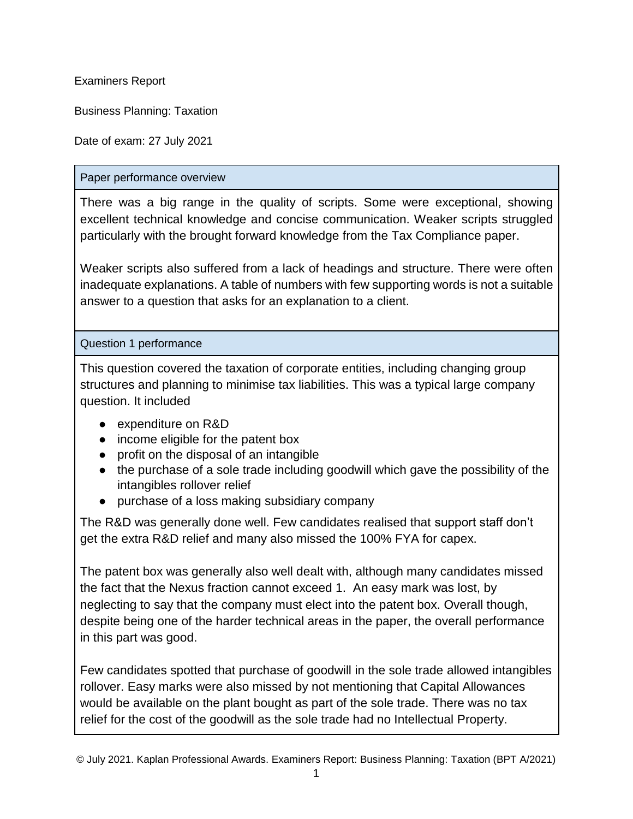Examiners Report

Business Planning: Taxation

Date of exam: 27 July 2021

## Paper performance overview

There was a big range in the quality of scripts. Some were exceptional, showing excellent technical knowledge and concise communication. Weaker scripts struggled particularly with the brought forward knowledge from the Tax Compliance paper.

Weaker scripts also suffered from a lack of headings and structure. There were often inadequate explanations. A table of numbers with few supporting words is not a suitable answer to a question that asks for an explanation to a client.

Question 1 performance

This question covered the taxation of corporate entities, including changing group structures and planning to minimise tax liabilities. This was a typical large company question. It included

- expenditure on R&D
- income eligible for the patent box
- profit on the disposal of an intangible
- the purchase of a sole trade including goodwill which gave the possibility of the intangibles rollover relief
- purchase of a loss making subsidiary company

The R&D was generally done well. Few candidates realised that support staff don't get the extra R&D relief and many also missed the 100% FYA for capex.

The patent box was generally also well dealt with, although many candidates missed the fact that the Nexus fraction cannot exceed 1. An easy mark was lost, by neglecting to say that the company must elect into the patent box. Overall though, despite being one of the harder technical areas in the paper, the overall performance in this part was good.

Few candidates spotted that purchase of goodwill in the sole trade allowed intangibles rollover. Easy marks were also missed by not mentioning that Capital Allowances would be available on the plant bought as part of the sole trade. There was no tax relief for the cost of the goodwill as the sole trade had no Intellectual Property.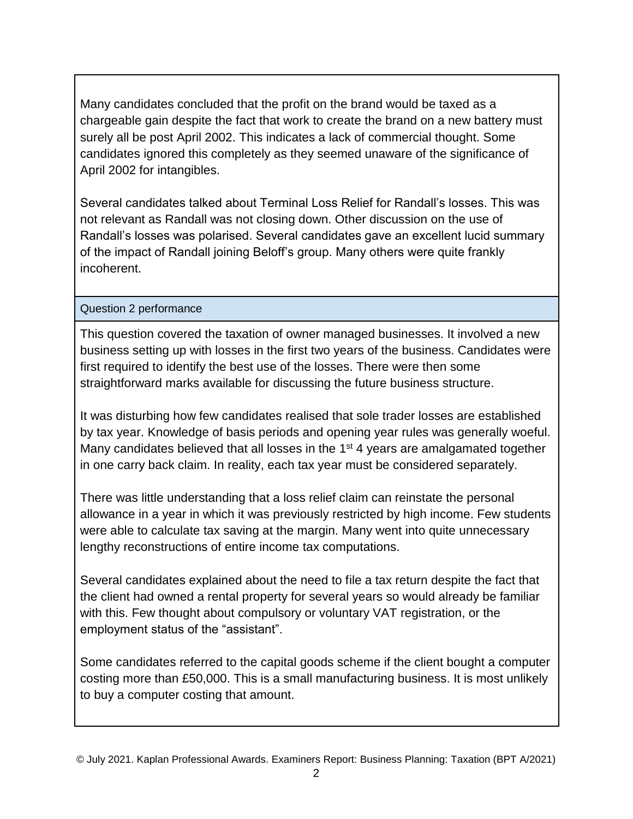Many candidates concluded that the profit on the brand would be taxed as a chargeable gain despite the fact that work to create the brand on a new battery must surely all be post April 2002. This indicates a lack of commercial thought. Some candidates ignored this completely as they seemed unaware of the significance of April 2002 for intangibles.

Several candidates talked about Terminal Loss Relief for Randall's losses. This was not relevant as Randall was not closing down. Other discussion on the use of Randall's losses was polarised. Several candidates gave an excellent lucid summary of the impact of Randall joining Beloff's group. Many others were quite frankly incoherent.

## Question 2 performance

This question covered the taxation of owner managed businesses. It involved a new business setting up with losses in the first two years of the business. Candidates were first required to identify the best use of the losses. There were then some straightforward marks available for discussing the future business structure.

It was disturbing how few candidates realised that sole trader losses are established by tax year. Knowledge of basis periods and opening year rules was generally woeful. Many candidates believed that all losses in the 1<sup>st</sup> 4 years are amalgamated together in one carry back claim. In reality, each tax year must be considered separately.

There was little understanding that a loss relief claim can reinstate the personal allowance in a year in which it was previously restricted by high income. Few students were able to calculate tax saving at the margin. Many went into quite unnecessary lengthy reconstructions of entire income tax computations.

Several candidates explained about the need to file a tax return despite the fact that the client had owned a rental property for several years so would already be familiar with this. Few thought about compulsory or voluntary VAT registration, or the employment status of the "assistant".

Some candidates referred to the capital goods scheme if the client bought a computer costing more than £50,000. This is a small manufacturing business. It is most unlikely to buy a computer costing that amount.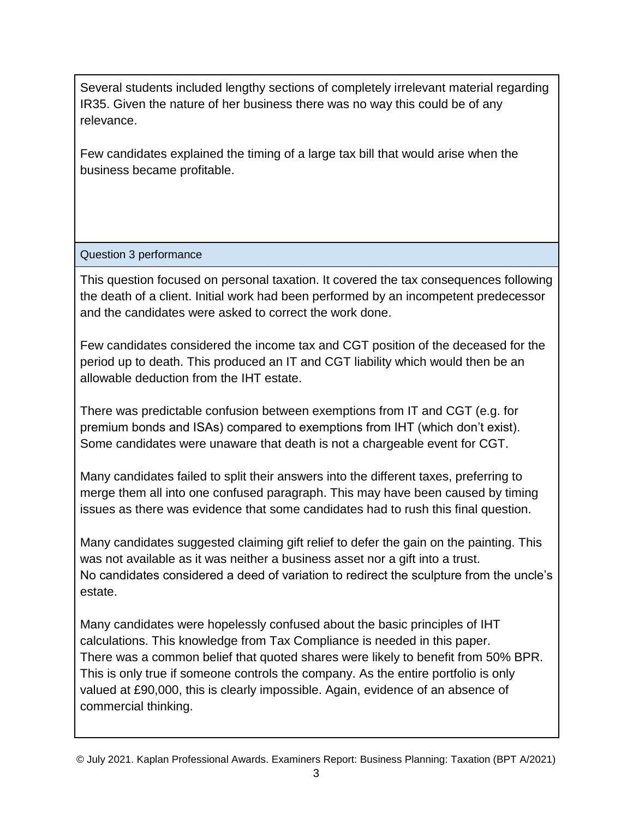Several students included lengthy sections of completely irrelevant material regarding IR35. Given the nature of her business there was no way this could be of any relevance.

Few candidates explained the timing of a large tax bill that would arise when the business became profitable.

Question 3 performance

This question focused on personal taxation. It covered the tax consequences following the death of a client. Initial work had been performed by an incompetent predecessor and the candidates were asked to correct the work done.

Few candidates considered the income tax and CGT position of the deceased for the period up to death. This produced an IT and CGT liability which would then be an allowable deduction from the IHT estate.

There was predictable confusion between exemptions from IT and CGT (e.g. for premium bonds and ISAs) compared to exemptions from IHT (which don't exist). Some candidates were unaware that death is not a chargeable event for CGT.

Many candidates failed to split their answers into the different taxes, preferring to merge them all into one confused paragraph. This may have been caused by timing issues as there was evidence that some candidates had to rush this final question.

Many candidates suggested claiming gift relief to defer the gain on the painting. This was not available as it was neither a business asset nor a gift into a trust. No candidates considered a deed of variation to redirect the sculpture from the uncle's estate.

Many candidates were hopelessly confused about the basic principles of IHT calculations. This knowledge from Tax Compliance is needed in this paper. There was a common belief that quoted shares were likely to benefit from 50% BPR. This is only true if someone controls the company. As the entire portfolio is only valued at £90,000, this is clearly impossible. Again, evidence of an absence of commercial thinking.